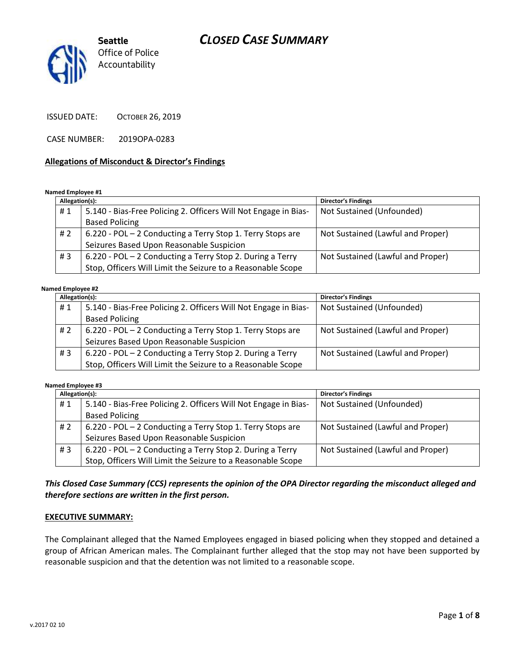

**Seattle** *Office of Police Accountability*

ISSUED DATE: OCTOBER 26, 2019

CASE NUMBER: 2019OPA-0283

### **Allegations of Misconduct & Director's Findings**

#### **Named Employee #1**

| Allegation(s): |                                                                 | Director's Findings               |
|----------------|-----------------------------------------------------------------|-----------------------------------|
| #1             | 5.140 - Bias-Free Policing 2. Officers Will Not Engage in Bias- | Not Sustained (Unfounded)         |
|                | <b>Based Policing</b>                                           |                                   |
| # 2            | 6.220 - POL - 2 Conducting a Terry Stop 1. Terry Stops are      | Not Sustained (Lawful and Proper) |
|                | Seizures Based Upon Reasonable Suspicion                        |                                   |
| #3             | 6.220 - POL - 2 Conducting a Terry Stop 2. During a Terry       | Not Sustained (Lawful and Proper) |
|                | Stop, Officers Will Limit the Seizure to a Reasonable Scope     |                                   |

#### **Named Employee #2**

| Allegation(s): |                                                                 | <b>Director's Findings</b>        |  |
|----------------|-----------------------------------------------------------------|-----------------------------------|--|
| #1             | 5.140 - Bias-Free Policing 2. Officers Will Not Engage in Bias- | Not Sustained (Unfounded)         |  |
|                | <b>Based Policing</b>                                           |                                   |  |
| # 2            | 6.220 - POL - 2 Conducting a Terry Stop 1. Terry Stops are      | Not Sustained (Lawful and Proper) |  |
|                | Seizures Based Upon Reasonable Suspicion                        |                                   |  |
| # $3$          | 6.220 - POL - 2 Conducting a Terry Stop 2. During a Terry       | Not Sustained (Lawful and Proper) |  |
|                | Stop, Officers Will Limit the Seizure to a Reasonable Scope     |                                   |  |

**Named Employee #3**

| Allegation(s): |                                                                 | Director's Findings               |
|----------------|-----------------------------------------------------------------|-----------------------------------|
| #1             | 5.140 - Bias-Free Policing 2. Officers Will Not Engage in Bias- | Not Sustained (Unfounded)         |
|                | <b>Based Policing</b>                                           |                                   |
| # 2            | 6.220 - POL - 2 Conducting a Terry Stop 1. Terry Stops are      | Not Sustained (Lawful and Proper) |
|                | Seizures Based Upon Reasonable Suspicion                        |                                   |
| #3             | 6.220 - POL - 2 Conducting a Terry Stop 2. During a Terry       | Not Sustained (Lawful and Proper) |
|                | Stop, Officers Will Limit the Seizure to a Reasonable Scope     |                                   |

### *This Closed Case Summary (CCS) represents the opinion of the OPA Director regarding the misconduct alleged and therefore sections are written in the first person.*

#### **EXECUTIVE SUMMARY:**

The Complainant alleged that the Named Employees engaged in biased policing when they stopped and detained a group of African American males. The Complainant further alleged that the stop may not have been supported by reasonable suspicion and that the detention was not limited to a reasonable scope.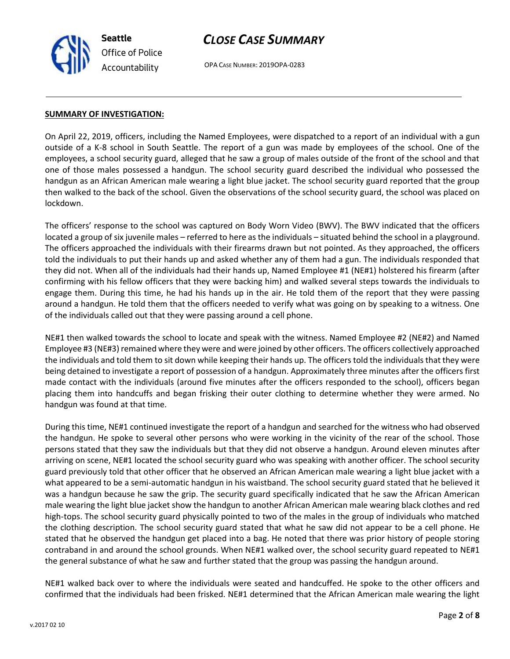

OPA CASE NUMBER: 2019OPA-0283

#### **SUMMARY OF INVESTIGATION:**

On April 22, 2019, officers, including the Named Employees, were dispatched to a report of an individual with a gun outside of a K-8 school in South Seattle. The report of a gun was made by employees of the school. One of the employees, a school security guard, alleged that he saw a group of males outside of the front of the school and that one of those males possessed a handgun. The school security guard described the individual who possessed the handgun as an African American male wearing a light blue jacket. The school security guard reported that the group then walked to the back of the school. Given the observations of the school security guard, the school was placed on lockdown.

The officers' response to the school was captured on Body Worn Video (BWV). The BWV indicated that the officers located a group of six juvenile males – referred to here as the individuals – situated behind the school in a playground. The officers approached the individuals with their firearms drawn but not pointed. As they approached, the officers told the individuals to put their hands up and asked whether any of them had a gun. The individuals responded that they did not. When all of the individuals had their hands up, Named Employee #1 (NE#1) holstered his firearm (after confirming with his fellow officers that they were backing him) and walked several steps towards the individuals to engage them. During this time, he had his hands up in the air. He told them of the report that they were passing around a handgun. He told them that the officers needed to verify what was going on by speaking to a witness. One of the individuals called out that they were passing around a cell phone.

NE#1 then walked towards the school to locate and speak with the witness. Named Employee #2 (NE#2) and Named Employee #3 (NE#3) remained where they were and were joined by other officers. The officers collectively approached the individuals and told them to sit down while keeping their hands up. The officers told the individuals that they were being detained to investigate a report of possession of a handgun. Approximately three minutes after the officers first made contact with the individuals (around five minutes after the officers responded to the school), officers began placing them into handcuffs and began frisking their outer clothing to determine whether they were armed. No handgun was found at that time.

During this time, NE#1 continued investigate the report of a handgun and searched for the witness who had observed the handgun. He spoke to several other persons who were working in the vicinity of the rear of the school. Those persons stated that they saw the individuals but that they did not observe a handgun. Around eleven minutes after arriving on scene, NE#1 located the school security guard who was speaking with another officer. The school security guard previously told that other officer that he observed an African American male wearing a light blue jacket with a what appeared to be a semi-automatic handgun in his waistband. The school security guard stated that he believed it was a handgun because he saw the grip. The security guard specifically indicated that he saw the African American male wearing the light blue jacket show the handgun to another African American male wearing black clothes and red high-tops. The school security guard physically pointed to two of the males in the group of individuals who matched the clothing description. The school security guard stated that what he saw did not appear to be a cell phone. He stated that he observed the handgun get placed into a bag. He noted that there was prior history of people storing contraband in and around the school grounds. When NE#1 walked over, the school security guard repeated to NE#1 the general substance of what he saw and further stated that the group was passing the handgun around.

NE#1 walked back over to where the individuals were seated and handcuffed. He spoke to the other officers and confirmed that the individuals had been frisked. NE#1 determined that the African American male wearing the light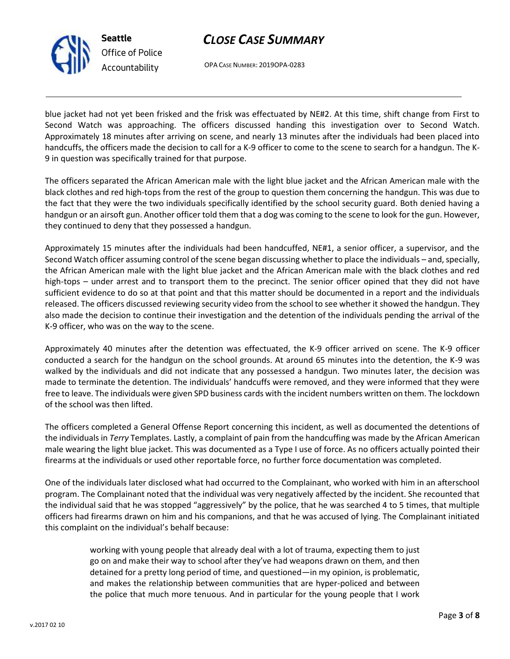

OPA CASE NUMBER: 2019OPA-0283

blue jacket had not yet been frisked and the frisk was effectuated by NE#2. At this time, shift change from First to Second Watch was approaching. The officers discussed handing this investigation over to Second Watch. Approximately 18 minutes after arriving on scene, and nearly 13 minutes after the individuals had been placed into handcuffs, the officers made the decision to call for a K-9 officer to come to the scene to search for a handgun. The K-9 in question was specifically trained for that purpose.

The officers separated the African American male with the light blue jacket and the African American male with the black clothes and red high-tops from the rest of the group to question them concerning the handgun. This was due to the fact that they were the two individuals specifically identified by the school security guard. Both denied having a handgun or an airsoft gun. Another officer told them that a dog was coming to the scene to look for the gun. However, they continued to deny that they possessed a handgun.

Approximately 15 minutes after the individuals had been handcuffed, NE#1, a senior officer, a supervisor, and the Second Watch officer assuming control of the scene began discussing whether to place the individuals – and, specially, the African American male with the light blue jacket and the African American male with the black clothes and red high-tops – under arrest and to transport them to the precinct. The senior officer opined that they did not have sufficient evidence to do so at that point and that this matter should be documented in a report and the individuals released. The officers discussed reviewing security video from the school to see whether it showed the handgun. They also made the decision to continue their investigation and the detention of the individuals pending the arrival of the K-9 officer, who was on the way to the scene.

Approximately 40 minutes after the detention was effectuated, the K-9 officer arrived on scene. The K-9 officer conducted a search for the handgun on the school grounds. At around 65 minutes into the detention, the K-9 was walked by the individuals and did not indicate that any possessed a handgun. Two minutes later, the decision was made to terminate the detention. The individuals' handcuffs were removed, and they were informed that they were free to leave. The individuals were given SPD business cards with the incident numbers written on them. The lockdown of the school was then lifted.

The officers completed a General Offense Report concerning this incident, as well as documented the detentions of the individuals in *Terry* Templates. Lastly, a complaint of pain from the handcuffing was made by the African American male wearing the light blue jacket. This was documented as a Type I use of force. As no officers actually pointed their firearms at the individuals or used other reportable force, no further force documentation was completed.

One of the individuals later disclosed what had occurred to the Complainant, who worked with him in an afterschool program. The Complainant noted that the individual was very negatively affected by the incident. She recounted that the individual said that he was stopped "aggressively" by the police, that he was searched 4 to 5 times, that multiple officers had firearms drawn on him and his companions, and that he was accused of lying. The Complainant initiated this complaint on the individual's behalf because:

> working with young people that already deal with a lot of trauma, expecting them to just go on and make their way to school after they've had weapons drawn on them, and then detained for a pretty long period of time, and questioned—in my opinion, is problematic, and makes the relationship between communities that are hyper-policed and between the police that much more tenuous. And in particular for the young people that I work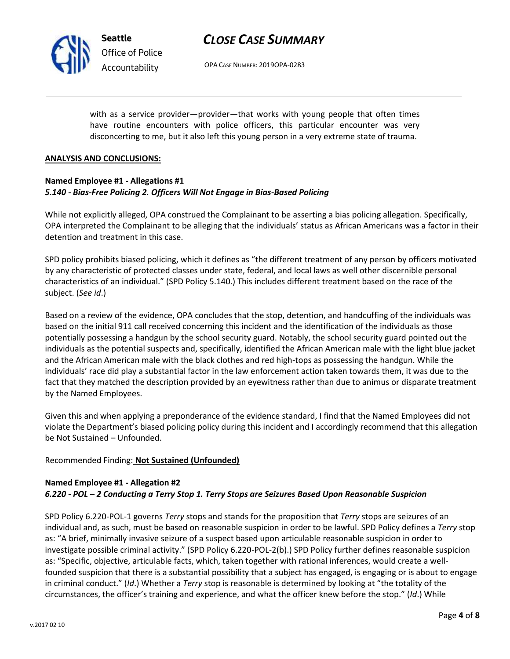OPA CASE NUMBER: 2019OPA-0283

with as a service provider—provider—that works with young people that often times have routine encounters with police officers, this particular encounter was very disconcerting to me, but it also left this young person in a very extreme state of trauma.

#### **ANALYSIS AND CONCLUSIONS:**

### **Named Employee #1 - Allegations #1** *5.140 - Bias-Free Policing 2. Officers Will Not Engage in Bias-Based Policing*

While not explicitly alleged, OPA construed the Complainant to be asserting a bias policing allegation. Specifically, OPA interpreted the Complainant to be alleging that the individuals' status as African Americans was a factor in their detention and treatment in this case.

SPD policy prohibits biased policing, which it defines as "the different treatment of any person by officers motivated by any characteristic of protected classes under state, federal, and local laws as well other discernible personal characteristics of an individual." (SPD Policy 5.140.) This includes different treatment based on the race of the subject. (*See id*.)

Based on a review of the evidence, OPA concludes that the stop, detention, and handcuffing of the individuals was based on the initial 911 call received concerning this incident and the identification of the individuals as those potentially possessing a handgun by the school security guard. Notably, the school security guard pointed out the individuals as the potential suspects and, specifically, identified the African American male with the light blue jacket and the African American male with the black clothes and red high-tops as possessing the handgun. While the individuals' race did play a substantial factor in the law enforcement action taken towards them, it was due to the fact that they matched the description provided by an eyewitness rather than due to animus or disparate treatment by the Named Employees.

Given this and when applying a preponderance of the evidence standard, I find that the Named Employees did not violate the Department's biased policing policy during this incident and I accordingly recommend that this allegation be Not Sustained – Unfounded.

### Recommended Finding: **Not Sustained (Unfounded)**

#### **Named Employee #1 - Allegation #2** *6.220 - POL – 2 Conducting a Terry Stop 1. Terry Stops are Seizures Based Upon Reasonable Suspicion*

SPD Policy 6.220-POL-1 governs *Terry* stops and stands for the proposition that *Terry* stops are seizures of an individual and, as such, must be based on reasonable suspicion in order to be lawful. SPD Policy defines a *Terry* stop as: "A brief, minimally invasive seizure of a suspect based upon articulable reasonable suspicion in order to investigate possible criminal activity." (SPD Policy 6.220-POL-2(b).) SPD Policy further defines reasonable suspicion as: "Specific, objective, articulable facts, which, taken together with rational inferences, would create a wellfounded suspicion that there is a substantial possibility that a subject has engaged, is engaging or is about to engage in criminal conduct." (*Id*.) Whether a *Terry* stop is reasonable is determined by looking at "the totality of the circumstances, the officer's training and experience, and what the officer knew before the stop." (*Id*.) While



**Seattle** *Office of Police Accountability*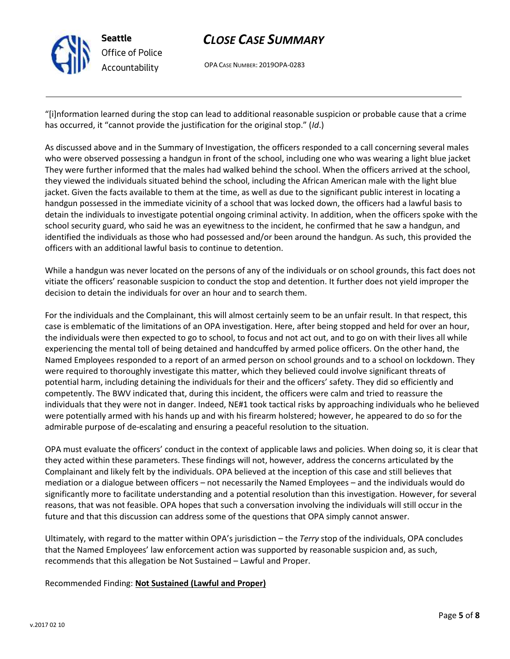

OPA CASE NUMBER: 2019OPA-0283

"[i]nformation learned during the stop can lead to additional reasonable suspicion or probable cause that a crime has occurred, it "cannot provide the justification for the original stop." (*Id*.)

As discussed above and in the Summary of Investigation, the officers responded to a call concerning several males who were observed possessing a handgun in front of the school, including one who was wearing a light blue jacket They were further informed that the males had walked behind the school. When the officers arrived at the school, they viewed the individuals situated behind the school, including the African American male with the light blue jacket. Given the facts available to them at the time, as well as due to the significant public interest in locating a handgun possessed in the immediate vicinity of a school that was locked down, the officers had a lawful basis to detain the individuals to investigate potential ongoing criminal activity. In addition, when the officers spoke with the school security guard, who said he was an eyewitness to the incident, he confirmed that he saw a handgun, and identified the individuals as those who had possessed and/or been around the handgun. As such, this provided the officers with an additional lawful basis to continue to detention.

While a handgun was never located on the persons of any of the individuals or on school grounds, this fact does not vitiate the officers' reasonable suspicion to conduct the stop and detention. It further does not yield improper the decision to detain the individuals for over an hour and to search them.

For the individuals and the Complainant, this will almost certainly seem to be an unfair result. In that respect, this case is emblematic of the limitations of an OPA investigation. Here, after being stopped and held for over an hour, the individuals were then expected to go to school, to focus and not act out, and to go on with their lives all while experiencing the mental toll of being detained and handcuffed by armed police officers. On the other hand, the Named Employees responded to a report of an armed person on school grounds and to a school on lockdown. They were required to thoroughly investigate this matter, which they believed could involve significant threats of potential harm, including detaining the individuals for their and the officers' safety. They did so efficiently and competently. The BWV indicated that, during this incident, the officers were calm and tried to reassure the individuals that they were not in danger. Indeed, NE#1 took tactical risks by approaching individuals who he believed were potentially armed with his hands up and with his firearm holstered; however, he appeared to do so for the admirable purpose of de-escalating and ensuring a peaceful resolution to the situation.

OPA must evaluate the officers' conduct in the context of applicable laws and policies. When doing so, it is clear that they acted within these parameters. These findings will not, however, address the concerns articulated by the Complainant and likely felt by the individuals. OPA believed at the inception of this case and still believes that mediation or a dialogue between officers – not necessarily the Named Employees – and the individuals would do significantly more to facilitate understanding and a potential resolution than this investigation. However, for several reasons, that was not feasible. OPA hopes that such a conversation involving the individuals will still occur in the future and that this discussion can address some of the questions that OPA simply cannot answer.

Ultimately, with regard to the matter within OPA's jurisdiction – the *Terry* stop of the individuals, OPA concludes that the Named Employees' law enforcement action was supported by reasonable suspicion and, as such, recommends that this allegation be Not Sustained – Lawful and Proper.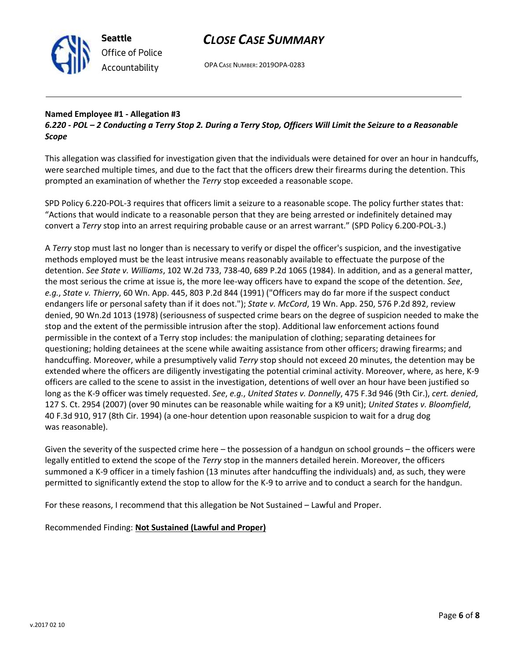

# **Seattle** *Office of Police Accountability*

# *CLOSE CASE SUMMARY*

OPA CASE NUMBER: 2019OPA-0283

### **Named Employee #1 - Allegation #3**

*6.220 - POL – 2 Conducting a Terry Stop 2. During a Terry Stop, Officers Will Limit the Seizure to a Reasonable Scope*

This allegation was classified for investigation given that the individuals were detained for over an hour in handcuffs, were searched multiple times, and due to the fact that the officers drew their firearms during the detention. This prompted an examination of whether the *Terry* stop exceeded a reasonable scope.

SPD Policy 6.220-POL-3 requires that officers limit a seizure to a reasonable scope. The policy further states that: "Actions that would indicate to a reasonable person that they are being arrested or indefinitely detained may convert a *Terry* stop into an arrest requiring probable cause or an arrest warrant." (SPD Policy 6.200-POL-3.)

A *Terry* stop must last no longer than is necessary to verify or dispel the officer's suspicion, and the investigative methods employed must be the least intrusive means reasonably available to effectuate the purpose of the detention. *See State v. Williams*, 102 W.2d 733, 738-40, 689 P.2d 1065 (1984). In addition, and as a general matter, the most serious the crime at issue is, the more lee-way officers have to expand the scope of the detention. *See*, *e.g.*, *State v. Thierry*, 60 Wn. App. 445, 803 P.2d 844 (1991) ("Officers may do far more if the suspect conduct endangers life or personal safety than if it does not."); *State v. McCord*, 19 Wn. App. 250, 576 P.2d 892, review denied, 90 Wn.2d 1013 (1978) (seriousness of suspected crime bears on the degree of suspicion needed to make the stop and the extent of the permissible intrusion after the stop). Additional law enforcement actions found permissible in the context of a Terry stop includes: the manipulation of clothing; separating detainees for questioning; holding detainees at the scene while awaiting assistance from other officers; drawing firearms; and handcuffing. Moreover, while a presumptively valid *Terry* stop should not exceed 20 minutes, the detention may be extended where the officers are diligently investigating the potential criminal activity. Moreover, where, as here, K-9 officers are called to the scene to assist in the investigation, detentions of well over an hour have been justified so long as the K-9 officer was timely requested. *See*, *e.g.*, *United States v. Donnelly*, 475 F.3d 946 (9th Cir.), *cert. denied*, 127 S. Ct. 2954 (2007) (over 90 minutes can be reasonable while waiting for a K9 unit); *United States v. Bloomfield*, 40 F.3d 910, 917 (8th Cir. 1994) (a one-hour detention upon reasonable suspicion to wait for a drug dog was reasonable).

Given the severity of the suspected crime here – the possession of a handgun on school grounds – the officers were legally entitled to extend the scope of the *Terry* stop in the manners detailed herein. Moreover, the officers summoned a K-9 officer in a timely fashion (13 minutes after handcuffing the individuals) and, as such, they were permitted to significantly extend the stop to allow for the K-9 to arrive and to conduct a search for the handgun.

For these reasons, I recommend that this allegation be Not Sustained – Lawful and Proper.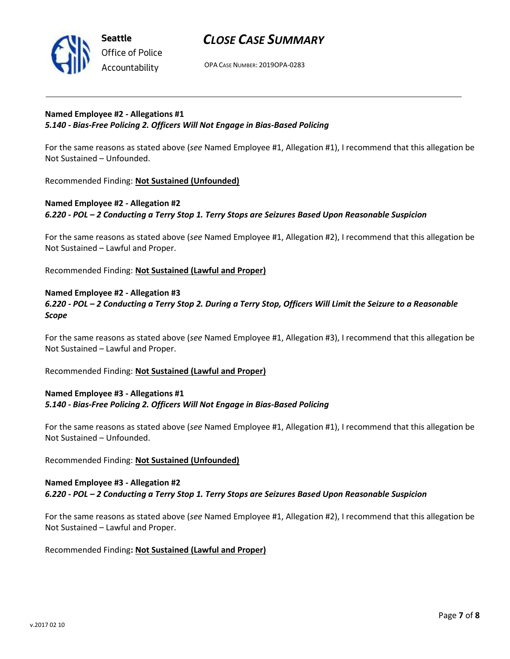

**Seattle** *Office of Police Accountability*

# *CLOSE CASE SUMMARY*

OPA CASE NUMBER: 2019OPA-0283

### **Named Employee #2 - Allegations #1** *5.140 - Bias-Free Policing 2. Officers Will Not Engage in Bias-Based Policing*

For the same reasons as stated above (*see* Named Employee #1, Allegation #1), I recommend that this allegation be Not Sustained – Unfounded.

Recommended Finding: **Not Sustained (Unfounded)**

## **Named Employee #2 - Allegation #2** *6.220 - POL – 2 Conducting a Terry Stop 1. Terry Stops are Seizures Based Upon Reasonable Suspicion*

For the same reasons as stated above (*see* Named Employee #1, Allegation #2), I recommend that this allegation be Not Sustained – Lawful and Proper.

Recommended Finding: **Not Sustained (Lawful and Proper)**

### **Named Employee #2 - Allegation #3** *6.220 - POL – 2 Conducting a Terry Stop 2. During a Terry Stop, Officers Will Limit the Seizure to a Reasonable Scope*

For the same reasons as stated above (*see* Named Employee #1, Allegation #3), I recommend that this allegation be Not Sustained – Lawful and Proper.

Recommended Finding: **Not Sustained (Lawful and Proper)**

### **Named Employee #3 - Allegations #1** *5.140 - Bias-Free Policing 2. Officers Will Not Engage in Bias-Based Policing*

For the same reasons as stated above (*see* Named Employee #1, Allegation #1), I recommend that this allegation be Not Sustained – Unfounded.

Recommended Finding: **Not Sustained (Unfounded)**

### **Named Employee #3 - Allegation #2** *6.220 - POL – 2 Conducting a Terry Stop 1. Terry Stops are Seizures Based Upon Reasonable Suspicion*

For the same reasons as stated above (*see* Named Employee #1, Allegation #2), I recommend that this allegation be Not Sustained – Lawful and Proper.